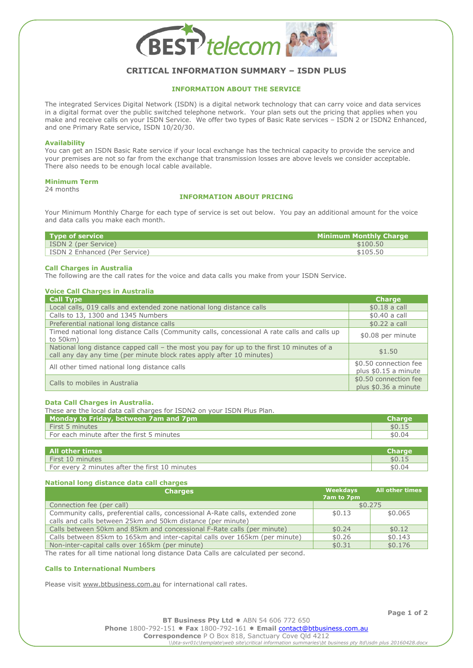

# **CRITICAL INFORMATION SUMMARY – ISDN PLUS**

## **INFORMATION ABOUT THE SERVICE**

The integrated Services Digital Network (ISDN) is a digital network technology that can carry voice and data services in a digital format over the public switched telephone network. Your plan sets out the pricing that applies when you make and receive calls on your ISDN Service. We offer two types of Basic Rate services – ISDN 2 or ISDN2 Enhanced, and one Primary Rate service, ISDN 10/20/30.

#### **Availability**

You can get an ISDN Basic Rate service if your local exchange has the technical capacity to provide the service and your premises are not so far from the exchange that transmission losses are above levels we consider acceptable. There also needs to be enough local cable available.

#### **Minimum Term**

24 months

## **INFORMATION ABOUT PRICING**

Your Minimum Monthly Charge for each type of service is set out below. You pay an additional amount for the voice and data calls you make each month.

| Type of service               | <b>Minimum Monthly Charge</b> |
|-------------------------------|-------------------------------|
| ISDN 2 (per Service)          | \$100.50                      |
| ISDN 2 Enhanced (Per Service) | \$105.50                      |
|                               |                               |

#### **Call Charges in Australia**

The following are the call rates for the voice and data calls you make from your ISDN Service.

| <b>Voice Call Charges in Australia</b>                                                                                                                             |                                               |
|--------------------------------------------------------------------------------------------------------------------------------------------------------------------|-----------------------------------------------|
| <b>Call Type</b>                                                                                                                                                   | <b>Charge</b>                                 |
| Local calls, 019 calls and extended zone national long distance calls                                                                                              | $$0.18$ a call                                |
| Calls to 13, 1300 and 1345 Numbers                                                                                                                                 | \$0.40 a call                                 |
| Preferential national long distance calls                                                                                                                          | $$0.22$ a call                                |
| Timed national long distance Calls (Community calls, concessional A rate calls and calls up<br>to $50km$ )                                                         | \$0.08 per minute                             |
| National long distance capped call - the most you pay for up to the first 10 minutes of a<br>call any day any time (per minute block rates apply after 10 minutes) | \$1.50                                        |
| All other timed national long distance calls                                                                                                                       | \$0.50 connection fee<br>plus \$0.15 a minute |
| Calls to mobiles in Australia                                                                                                                                      | \$0.50 connection fee<br>plus \$0.36 a minute |

#### **Data Call Charges in Australia.**

These are the local data call charges for ISDN2 on your ISDN Plus Plan.

| <b>Monday to Friday, between 7am and 7pm</b>                  | <b>Charge</b> |
|---------------------------------------------------------------|---------------|
| First 5 minutes                                               | \$0.15        |
| For each minute after the first 5 minutes                     | \$0.04        |
|                                                               |               |
| All other times                                               | <b>Charge</b> |
| First 10 minutes                                              | \$0.15        |
| $\overline{ }$ For every 2 minutes after the first 10 minutes | \$0.04        |

## **National long distance data call charges**

| <b>Charges</b>                                                                                                                               | Weekdays<br>7am to 7pm | <b>All other times</b> |
|----------------------------------------------------------------------------------------------------------------------------------------------|------------------------|------------------------|
| Connection fee (per call)                                                                                                                    |                        | \$0.275                |
| Community calls, preferential calls, concessional A-Rate calls, extended zone<br>calls and calls between 25km and 50km distance (per minute) | \$0.13                 | \$0.065                |
| Calls between 50km and 85km and concessional F-Rate calls (per minute)                                                                       | \$0.24                 | \$0.12                 |
| Calls between 85km to 165km and inter-capital calls over 165km (per minute)                                                                  | \$0.26                 | \$0.143                |
| Non-inter-capital calls over 165km (per minute)                                                                                              | \$0.31                 | \$0.176                |

The rates for all time national long distance Data Calls are calculated per second.

## **Calls to International Numbers**

Please visit [www.btbusiness.com.au](http://www.btbusiness.com.au/) for international call rates.